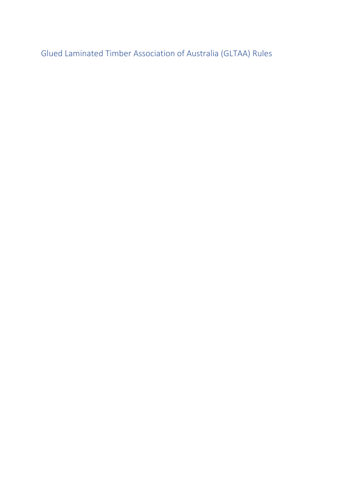Glued Laminated Timber Association of Australia (GLTAA) Rules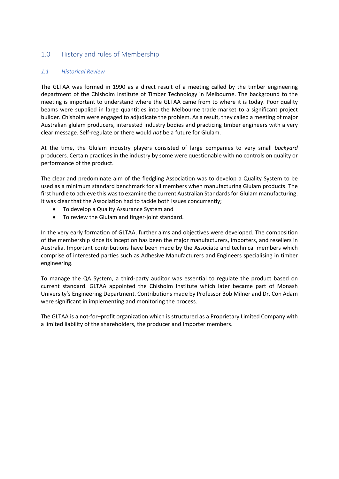# 1.0 History and rules of Membership

# *1.1 Historical Review*

The GLTAA was formed in 1990 as a direct result of a meeting called by the timber engineering department of the Chisholm Institute of Timber Technology in Melbourne. The background to the meeting is important to understand where the GLTAA came from to where it is today. Poor quality beams were supplied in large quantities into the Melbourne trade market to a significant project builder. Chisholm were engaged to adjudicate the problem. As a result, they called a meeting of major Australian glulam producers, interested industry bodies and practicing timber engineers with a very clear message. Self-regulate or there would *not* be a future for Glulam.

At the time, the Glulam industry players consisted of large companies to very small *backyard* producers. Certain practices in the industry by some were questionable with no controls on quality or performance of the product.

The clear and predominate aim of the fledgling Association was to develop a Quality System to be used as a minimum standard benchmark for all members when manufacturing Glulam products. The first hurdle to achieve this was to examine the current Australian Standards for Glulam manufacturing. It was clear that the Association had to tackle both issues concurrently;

- To develop a Quality Assurance System and
- To review the Glulam and finger-joint standard.

In the very early formation of GLTAA, further aims and objectives were developed. The composition of the membership since its inception has been the major manufacturers, importers, and resellers in Australia. Important contributions have been made by the Associate and technical members which comprise of interested parties such as Adhesive Manufacturers and Engineers specialising in timber engineering.

To manage the QA System, a third-party auditor was essential to regulate the product based on current standard. GLTAA appointed the Chisholm Institute which later became part of Monash University's Engineering Department. Contributions made by Professor Bob Milner and Dr. Con Adam were significant in implementing and monitoring the process.

The GLTAA is a not-for–profit organization which is structured as a Proprietary Limited Company with a limited liability of the shareholders, the producer and Importer members.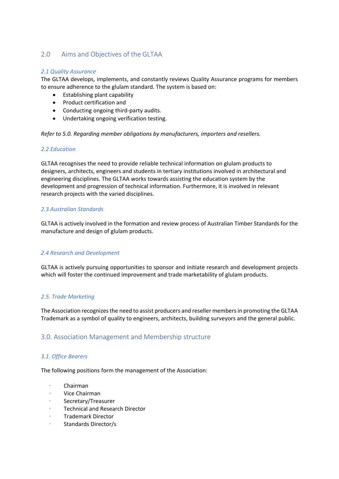# 2.0 Aims and Objectives of the GLTAA

#### *2.1 Quality Assurance*

The GLTAA develops, implements, and constantly reviews Quality Assurance programs for members to ensure adherence to the glulam standard. The system is based on:

- Establishing plant capability
- Product certification and
- Conducting ongoing third-party audits.
- Undertaking ongoing verification testing.

*Refer to 5.0. Regarding member obligations by manufacturers, importers and resellers.*

#### *2.2 Education*

GLTAA recognises the need to provide reliable technical information on glulam products to designers, architects, engineers and students in tertiary institutions involved in architectural and engineering disciplines. The GLTAA works towards assisting the education system by the development and progression of technical information. Furthermore, it is involved in relevant research projects with the varied disciplines.

### *2.3 Australian Standards*

GLTAA is actively involved in the formation and review process of Australian Timber Standards for the manufacture and design of glulam products.

#### *2.4 Research and Development*

GLTAA is actively pursuing opportunities to sponsor and initiate research and development projects which will foster the continued improvement and trade marketability of glulam products.

#### *2.5. Trade Marketing*

The Association recognizes the need to assist producers and reseller members in promoting the GLTAA Trademark as a symbol of quality to engineers, architects, building surveyors and the general public.

# 3.0. Association Management and Membership structure

#### *3.1. Office Bearers*

The following positions form the management of the Association:

- · Chairman
- · Vice Chairman
- · Secretary/Treasurer
- · Technical and Research Director
- · Trademark Director
- · Standards Director/s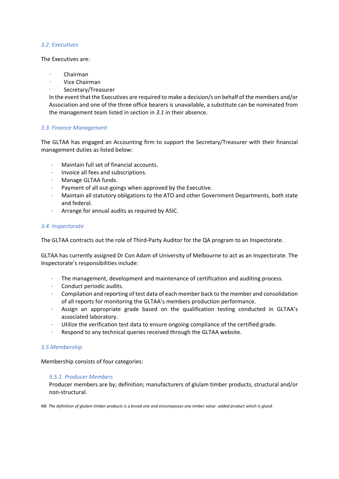#### *3.2. Executives*

#### The Executives are:

- · Chairman
- · Vice Chairman
- Secretary/Treasurer

In the event that the Executives are required to make a decision/s on behalf of the members and/or Association and one of the three office bearers is unavailable, a substitute can be nominated from the management team listed in section in *3.1* in their absence.

#### *3.3. Finance Management*

The GLTAA has engaged an Accounting firm to support the Secretary/Treasurer with their financial management duties as listed below:

- ∙ Maintain full set of financial accounts.
- ∙ Invoice all fees and subscriptions.
- ∙ Manage GLTAA funds.
- ∙ Payment of all out-goings when approved by the Executive.
- ∙ Maintain all statutory obligations to the ATO and other Government Departments, both state and federal.
- ∙ Arrange for annual audits as required by ASIC.

#### *3.4. Inspectorate*

The GLTAA contracts out the role of Third-Party Auditor for the QA program to an Inspectorate.

GLTAA has currently assigned Dr Con Adam of University of Melbourne to act as an Inspectorate. The Inspectorate's responsibilities include:

- ∙ The management, development and maintenance of certification and auditing process.
- ∙ Conduct periodic audits.
- ∙ Compilation and reporting of test data of each member back to the member and consolidation of all reports for monitoring the GLTAA's members production performance.
- ∙ Assign an appropriate grade based on the qualification testing conducted in GLTAA's associated laboratory.
- ∙ Utilize the verification test data to ensure ongoing compliance of the certified grade.
- ∙ Respond to any technical queries received through the GLTAA website.

#### *3.5 Membership*

Membership consists of four categories:

#### *3.5.1. Producer Members*

Producer members are by; definition; manufacturers of glulam timber products, structural and/or non-structural.

*NB. The definition of glulam timber products is a broad one and encompasses any timber value- added product which is glued.*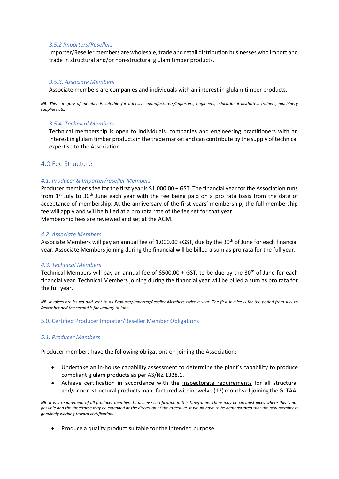#### *3.5.2 Importers/Resellers*

Importer/Reseller members are wholesale, trade and retail distribution businesses who import and trade in structural and/or non-structural glulam timber products.

#### *3.5.3. Associate Members*

Associate members are companies and individuals with an interest in glulam timber products.

*NB. This category of member is suitable for adhesive manufacturers/importers, engineers, educational institutes, trainers, machinery suppliers etc.*

#### *3.5.4. Technical Members*

Technical membership is open to individuals, companies and engineering practitioners with an interest in glulam timber products in the trade market and can contribute by the supply of technical expertise to the Association.

# 4.0 Fee Structure

#### *4.1. Producer & Importer/reseller Members*

Producer member's fee for the first year is \$1,000.00 + GST. The financial year for the Association runs from  $1<sup>st</sup>$  July to 30<sup>th</sup> June each year with the fee being paid on a pro rata basis from the date of acceptance of membership. At the anniversary of the first years' membership, the full membership fee will apply and will be billed at a pro rata rate of the fee set for that year. Membership fees are reviewed and set at the AGM.

#### *4.2. Associate Members*

Associate Members will pay an annual fee of 1,000.00 +GST, due by the 30<sup>th</sup> of June for each financial year. Associate Members joining during the financial will be billed a sum as pro rata for the full year.

#### *4.3. Technical Members*

Technical Members will pay an annual fee of \$500.00 + GST, to be due by the  $30<sup>th</sup>$  of June for each financial year. Technical Members joining during the financial year will be billed a sum as pro rata for the full year.

*NB. Invoices are issued and sent to all Producer/Importer/Reseller Members twice a year. The first invoice is for the period from July to December and the second is for January to June.*

#### 5.0. Certified Producer Importer/Reseller Member Obligations

# *5.1. Producer Members*

Producer members have the following obligations on joining the Association:

- Undertake an in-house capability assessment to determine the plant's capability to produce compliant glulam products as per AS/NZ 1328.1.
- Achieve certification in accordance with the Inspectorate requirements for all structural and/or non-structural products manufactured within twelve (12) months of joining the GLTAA.

*NB. It is a requirement of all producer members to achieve certification in this timeframe. There may be circumstances where this is not possible and the timeframe may be extended at the discretion of the executive. It would have to be demonstrated that the new member is genuinely working toward certification.*

• Produce a quality product suitable for the intended purpose.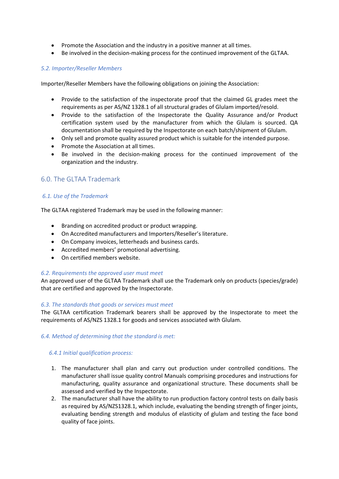- Promote the Association and the industry in a positive manner at all times.
- Be involved in the decision-making process for the continued improvement of the GLTAA.

#### *5.2. Importer/Reseller Members*

Importer/Reseller Members have the following obligations on joining the Association:

- Provide to the satisfaction of the inspectorate proof that the claimed GL grades meet the requirements as per AS/NZ 1328.1 of all structural grades of Glulam imported/resold.
- Provide to the satisfaction of the Inspectorate the Quality Assurance and/or Product certification system used by the manufacturer from which the Glulam is sourced. QA documentation shall be required by the Inspectorate on each batch/shipment of Glulam.
- Only sell and promote quality assured product which is suitable for the intended purpose.
- Promote the Association at all times.
- Be involved in the decision-making process for the continued improvement of the organization and the industry.

# 6.0. The GLTAA Trademark

#### *6.1. Use of the Trademark*

The GLTAA registered Trademark may be used in the following manner:

- Branding on accredited product or product wrapping.
- On Accredited manufacturers and Importers/Reseller's literature.
- On Company invoices, letterheads and business cards.
- Accredited members' promotional advertising.
- On certified members website.

#### *6.2. Requirements the approved user must meet*

An approved user of the GLTAA Trademark shall use the Trademark only on products (species/grade) that are certified and approved by the Inspectorate.

#### *6.3. The standards that goods or services must meet*

The GLTAA certification Trademark bearers shall be approved by the Inspectorate to meet the requirements of AS/NZS 1328.1 for goods and services associated with Glulam.

#### *6.4. Method of determining that the standard is met:*

#### *6.4.1 Initial qualification process:*

- 1. The manufacturer shall plan and carry out production under controlled conditions. The manufacturer shall issue quality control Manuals comprising procedures and instructions for manufacturing, quality assurance and organizational structure. These documents shall be assessed and verified by the Inspectorate.
- 2. The manufacturer shall have the ability to run production factory control tests on daily basis as required by AS/NZS1328.1, which include, evaluating the bending strength of finger joints, evaluating bending strength and modulus of elasticity of glulam and testing the face bond quality of face joints.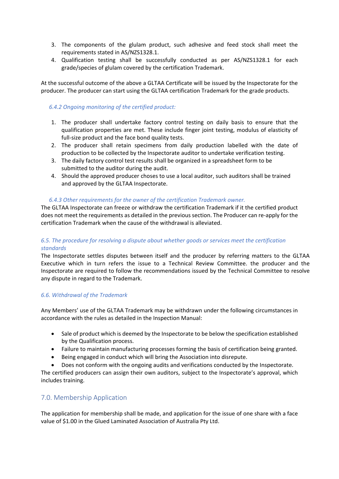- 3. The components of the glulam product, such adhesive and feed stock shall meet the requirements stated in AS/NZS1328.1.
- 4. Qualification testing shall be successfully conducted as per AS/NZS1328.1 for each grade/species of glulam covered by the certification Trademark.

At the successful outcome of the above a GLTAA Certificate will be issued by the Inspectorate for the producer. The producer can start using the GLTAA certification Trademark for the grade products.

#### *6.4.2 Ongoing monitoring of the certified product:*

- 1. The producer shall undertake factory control testing on daily basis to ensure that the qualification properties are met. These include finger joint testing, modulus of elasticity of full-size product and the face bond quality tests.
- 2. The producer shall retain specimens from daily production labelled with the date of production to be collected by the Inspectorate auditor to undertake verification testing.
- 3. The daily factory control test results shall be organized in a spreadsheet form to be submitted to the auditor during the audit.
- 4. Should the approved producer choses to use a local auditor, such auditors shall be trained and approved by the GLTAA Inspectorate.

#### *6.4.3 Other requirements for the owner of the certification Trademark owner.*

The GLTAA Inspectorate can freeze or withdraw the certification Trademark if it the certified product does not meet the requirements as detailed in the previous section. The Producer can re-apply for the certification Trademark when the cause of the withdrawal is alleviated.

# *6.5. The procedure for resolving a dispute about whether goods or services meet the certification standards*

The Inspectorate settles disputes between itself and the producer by referring matters to the GLTAA Executive which in turn refers the issue to a Technical Review Committee. the producer and the Inspectorate are required to follow the recommendations issued by the Technical Committee to resolve any dispute in regard to the Trademark.

#### *6.6. Withdrawal of the Trademark*

Any Members' use of the GLTAA Trademark may be withdrawn under the following circumstances in accordance with the rules as detailed in the Inspection Manual:

- Sale of product which is deemed by the Inspectorate to be below the specification established by the Qualification process.
- Failure to maintain manufacturing processes forming the basis of certification being granted.
- Being engaged in conduct which will bring the Association into disrepute.
- Does not conform with the ongoing audits and verifications conducted by the Inspectorate.

The certified producers can assign their own auditors, subject to the Inspectorate's approval, which includes training.

# 7.0. Membership Application

The application for membership shall be made, and application for the issue of one share with a face value of \$1.00 in the Glued Laminated Association of Australia Pty Ltd.